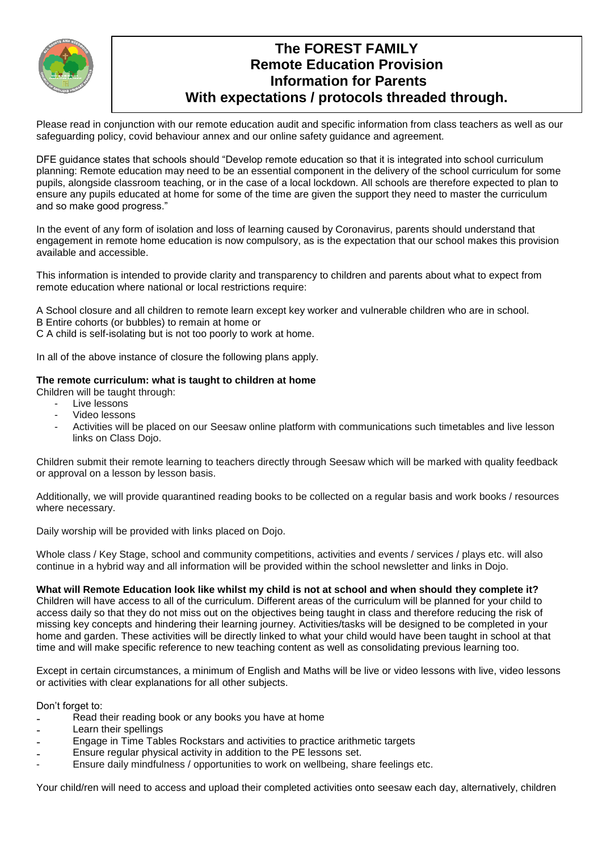

# **The FOREST FAMILY Remote Education Provision Information for Parents With expectations / protocols threaded through.**

Please read in conjunction with our remote education audit and specific information from class teachers as well as our safeguarding policy, covid behaviour annex and our online safety guidance and agreement.

DFE guidance states that schools should "Develop remote education so that it is integrated into school curriculum planning: Remote education may need to be an essential component in the delivery of the school curriculum for some pupils, alongside classroom teaching, or in the case of a local lockdown. All schools are therefore expected to plan to ensure any pupils educated at home for some of the time are given the support they need to master the curriculum and so make good progress."

In the event of any form of isolation and loss of learning caused by Coronavirus, parents should understand that engagement in remote home education is now compulsory, as is the expectation that our school makes this provision available and accessible.

This information is intended to provide clarity and transparency to children and parents about what to expect from remote education where national or local restrictions require:

A School closure and all children to remote learn except key worker and vulnerable children who are in school.

B Entire cohorts (or bubbles) to remain at home or

C A child is self-isolating but is not too poorly to work at home.

In all of the above instance of closure the following plans apply.

# **The remote curriculum: what is taught to children at home**

Children will be taught through:

- Live lessons
- Video lessons
- Activities will be placed on our Seesaw online platform with communications such timetables and live lesson links on Class Dojo.

Children submit their remote learning to teachers directly through Seesaw which will be marked with quality feedback or approval on a lesson by lesson basis.

Additionally, we will provide quarantined reading books to be collected on a regular basis and work books / resources where necessary.

Daily worship will be provided with links placed on Dojo.

Whole class / Key Stage, school and community competitions, activities and events / services / plays etc. will also continue in a hybrid way and all information will be provided within the school newsletter and links in Dojo.

## **What will Remote Education look like whilst my child is not at school and when should they complete it?**

Children will have access to all of the curriculum. Different areas of the curriculum will be planned for your child to access daily so that they do not miss out on the objectives being taught in class and therefore reducing the risk of missing key concepts and hindering their learning journey. Activities/tasks will be designed to be completed in your home and garden. These activities will be directly linked to what your child would have been taught in school at that time and will make specific reference to new teaching content as well as consolidating previous learning too.

Except in certain circumstances, a minimum of English and Maths will be live or video lessons with live, video lessons or activities with clear explanations for all other subjects.

Don't forget to:

- Read their reading book or any books you have at home
- Learn their spellings
- Engage in Time Tables Rockstars and activities to practice arithmetic targets
- Ensure regular physical activity in addition to the PE lessons set.
- Ensure daily mindfulness / opportunities to work on wellbeing, share feelings etc.

Your child/ren will need to access and upload their completed activities onto seesaw each day, alternatively, children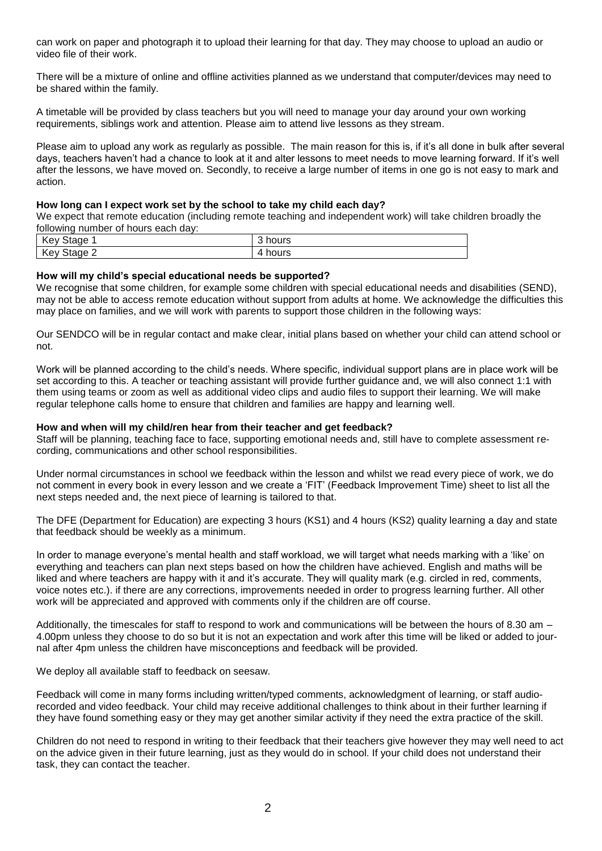can work on paper and photograph it to upload their learning for that day. They may choose to upload an audio or video file of their work.

There will be a mixture of online and offline activities planned as we understand that computer/devices may need to be shared within the family.

A timetable will be provided by class teachers but you will need to manage your day around your own working requirements, siblings work and attention. Please aim to attend live lessons as they stream.

Please aim to upload any work as regularly as possible. The main reason for this is, if it's all done in bulk after several days, teachers haven't had a chance to look at it and alter lessons to meet needs to move learning forward. If it's well after the lessons, we have moved on. Secondly, to receive a large number of items in one go is not easy to mark and action.

#### **How long can I expect work set by the school to take my child each day?**

We expect that remote education (including remote teaching and independent work) will take children broadly the following number of hours each day:

| <b>Key Stage</b> | $\sim$<br>hours<br>ື |
|------------------|----------------------|
| Key Stage 2      | hours<br>4           |

#### **How will my child's special educational needs be supported?**

We recognise that some children, for example some children with special educational needs and disabilities (SEND), may not be able to access remote education without support from adults at home. We acknowledge the difficulties this may place on families, and we will work with parents to support those children in the following ways:

Our SENDCO will be in regular contact and make clear, initial plans based on whether your child can attend school or not.

Work will be planned according to the child's needs. Where specific, individual support plans are in place work will be set according to this. A teacher or teaching assistant will provide further guidance and, we will also connect 1:1 with them using teams or zoom as well as additional video clips and audio files to support their learning. We will make regular telephone calls home to ensure that children and families are happy and learning well.

#### **How and when will my child/ren hear from their teacher and get feedback?**

Staff will be planning, teaching face to face, supporting emotional needs and, still have to complete assessment recording, communications and other school responsibilities.

Under normal circumstances in school we feedback within the lesson and whilst we read every piece of work, we do not comment in every book in every lesson and we create a 'FIT' (Feedback Improvement Time) sheet to list all the next steps needed and, the next piece of learning is tailored to that.

The DFE (Department for Education) are expecting 3 hours (KS1) and 4 hours (KS2) quality learning a day and state that feedback should be weekly as a minimum.

In order to manage everyone's mental health and staff workload, we will target what needs marking with a 'like' on everything and teachers can plan next steps based on how the children have achieved. English and maths will be liked and where teachers are happy with it and it's accurate. They will quality mark (e.g. circled in red, comments, voice notes etc.). if there are any corrections, improvements needed in order to progress learning further. All other work will be appreciated and approved with comments only if the children are off course.

Additionally, the timescales for staff to respond to work and communications will be between the hours of 8.30 am – 4.00pm unless they choose to do so but it is not an expectation and work after this time will be liked or added to journal after 4pm unless the children have misconceptions and feedback will be provided.

We deploy all available staff to feedback on seesaw.

Feedback will come in many forms including written/typed comments, acknowledgment of learning, or staff audiorecorded and video feedback. Your child may receive additional challenges to think about in their further learning if they have found something easy or they may get another similar activity if they need the extra practice of the skill.

Children do not need to respond in writing to their feedback that their teachers give however they may well need to act on the advice given in their future learning, just as they would do in school. If your child does not understand their task, they can contact the teacher.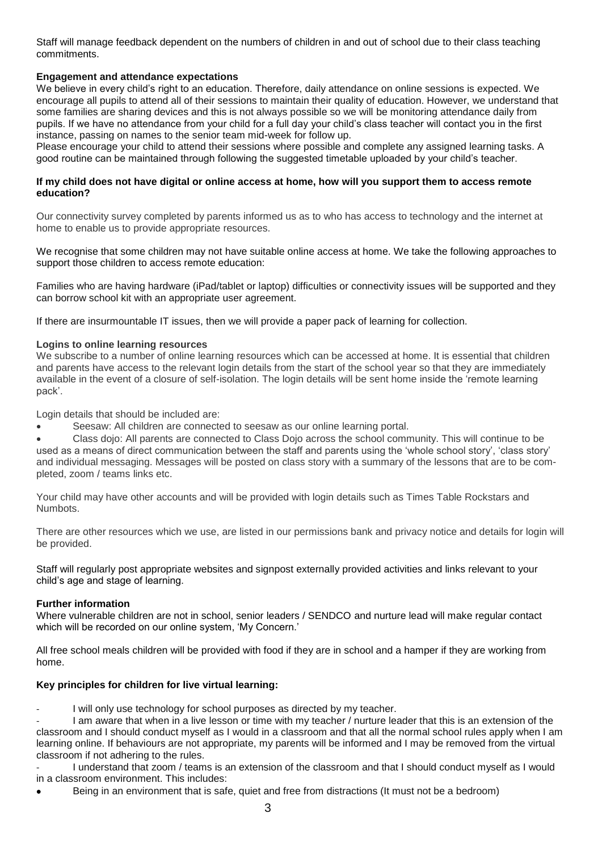Staff will manage feedback dependent on the numbers of children in and out of school due to their class teaching commitments.

# **Engagement and attendance expectations**

We believe in every child's right to an education. Therefore, daily attendance on online sessions is expected. We encourage all pupils to attend all of their sessions to maintain their quality of education. However, we understand that some families are sharing devices and this is not always possible so we will be monitoring attendance daily from pupils. If we have no attendance from your child for a full day your child's class teacher will contact you in the first instance, passing on names to the senior team mid-week for follow up.

Please encourage your child to attend their sessions where possible and complete any assigned learning tasks. A good routine can be maintained through following the suggested timetable uploaded by your child's teacher.

#### **If my child does not have digital or online access at home, how will you support them to access remote education?**

Our connectivity survey completed by parents informed us as to who has access to technology and the internet at home to enable us to provide appropriate resources.

We recognise that some children may not have suitable online access at home. We take the following approaches to support those children to access remote education:

Families who are having hardware (iPad/tablet or laptop) difficulties or connectivity issues will be supported and they can borrow school kit with an appropriate user agreement.

If there are insurmountable IT issues, then we will provide a paper pack of learning for collection.

#### **Logins to online learning resources**

We subscribe to a number of online learning resources which can be accessed at home. It is essential that children and parents have access to the relevant login details from the start of the school year so that they are immediately available in the event of a closure of self-isolation. The login details will be sent home inside the 'remote learning pack'.

Login details that should be included are:

- Seesaw: All children are connected to seesaw as our online learning portal.
- Class dojo: All parents are connected to Class Dojo across the school community. This will continue to be used as a means of direct communication between the staff and parents using the 'whole school story', 'class story' and individual messaging. Messages will be posted on class story with a summary of the lessons that are to be completed, zoom / teams links etc.

Your child may have other accounts and will be provided with login details such as Times Table Rockstars and Numbots.

There are other resources which we use, are listed in our permissions bank and privacy notice and details for login will be provided.

Staff will regularly post appropriate websites and signpost externally provided activities and links relevant to your child's age and stage of learning.

## **Further information**

Where vulnerable children are not in school, senior leaders / SENDCO and nurture lead will make regular contact which will be recorded on our online system, 'My Concern.'

All free school meals children will be provided with food if they are in school and a hamper if they are working from home.

## **Key principles for children for live virtual learning:**

I will only use technology for school purposes as directed by my teacher.

I am aware that when in a live lesson or time with my teacher / nurture leader that this is an extension of the classroom and I should conduct myself as I would in a classroom and that all the normal school rules apply when I am learning online. If behaviours are not appropriate, my parents will be informed and I may be removed from the virtual classroom if not adhering to the rules.

I understand that zoom / teams is an extension of the classroom and that I should conduct myself as I would in a classroom environment. This includes:

Being in an environment that is safe, quiet and free from distractions (It must not be a bedroom)